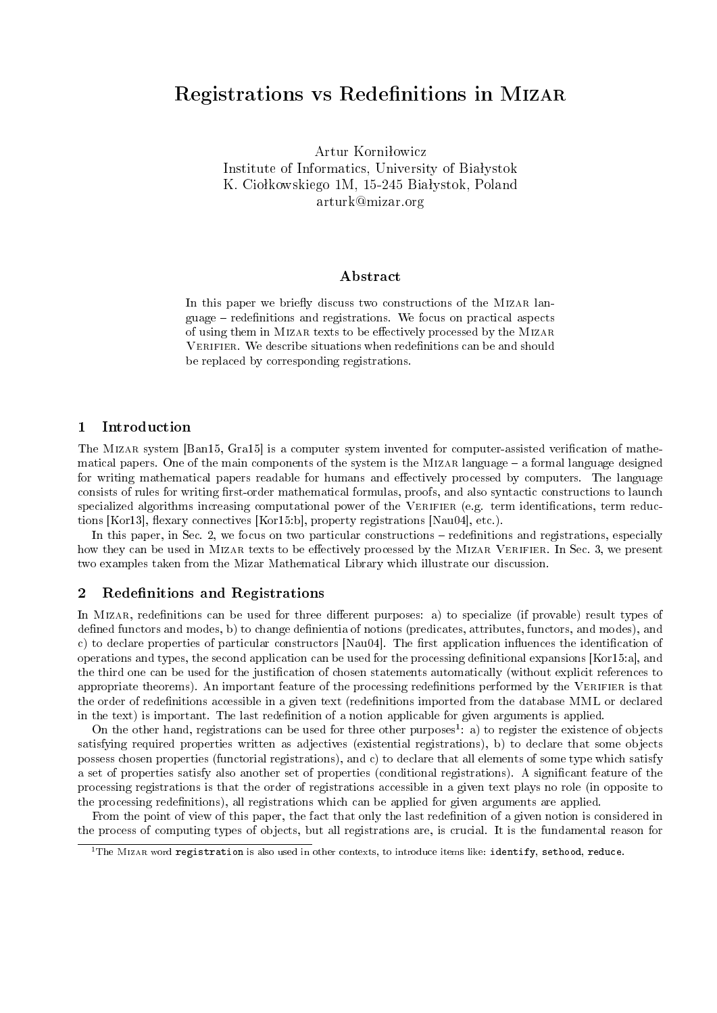# Registrations vs Redenitions in Mizar

Artur Korniłowicz Institute of Informatics, University of Białystok K. Ciołkowskiego 1M, 15-245 Białystok, Poland arturk@mizar.org

### Abstract

In this paper we briefly discuss two constructions of the MIZAR language – redefinitions and registrations. We focus on practical aspects of using them in MIZAR texts to be effectively processed by the MIZAR VERIFIER. We describe situations when redefinitions can be and should be replaced by corresponding registrations.

## 1 Introduction

The MIZAR system [Ban15, Gra15] is a computer system invented for computer-assisted verification of mathematical papers. One of the main components of the system is the MIZAR language - a formal language designed for writing mathematical papers readable for humans and effectively processed by computers. The language consists of rules for writing first-order mathematical formulas, proofs, and also syntactic constructions to launch specialized algorithms increasing computational power of the VERIFIER (e.g. term identifications, term reductions [Kor13], flexary connectives [Kor15:b], property registrations [Nau04], etc.).

In this paper, in Sec. 2, we focus on two particular constructions – redefinitions and registrations, especially how they can be used in MIZAR texts to be effectively processed by the MIZAR VERIFIER. In Sec. 3, we present two examples taken from the Mizar Mathematical Library which illustrate our discussion.

## 2 Redefinitions and Registrations

In MIZAR, redefinitions can be used for three different purposes: a) to specialize (if provable) result types of defined functors and modes, b) to change definientia of notions (predicates, attributes, functors, and modes), and c) to declare properties of particular constructors [Nau04]. The first application influences the identification of operations and types, the second application can be used for the processing denitional expansions [Kor15:a], and the third one can be used for the justification of chosen statements automatically (without explicit references to appropriate theorems). An important feature of the processing redenitions performed by the Verifier is that the order of redenitions accessible in a given text (redenitions imported from the database MML or declared in the text) is important. The last redenition of a notion applicable for given arguments is applied.

On the other hand, registrations can be used for three other purposes<sup>1</sup>: a) to register the existence of objects satisfying required properties written as adjectives (existential registrations), b) to declare that some objects possess chosen properties (functorial registrations), and c) to declare that all elements of some type which satisfy a set of properties satisfy also another set of properties (conditional registrations). A signicant feature of the processing registrations is that the order of registrations accessible in a given text plays no role (in opposite to the processing redefinitions), all registrations which can be applied for given arguments are applied.

From the point of view of this paper, the fact that only the last redenition of a given notion is considered in the process of computing types of objects, but all registrations are, is crucial. It is the fundamental reason for

 $1$ The MizAR word registration is also used in other contexts, to introduce items like: identify, sethood, reduce.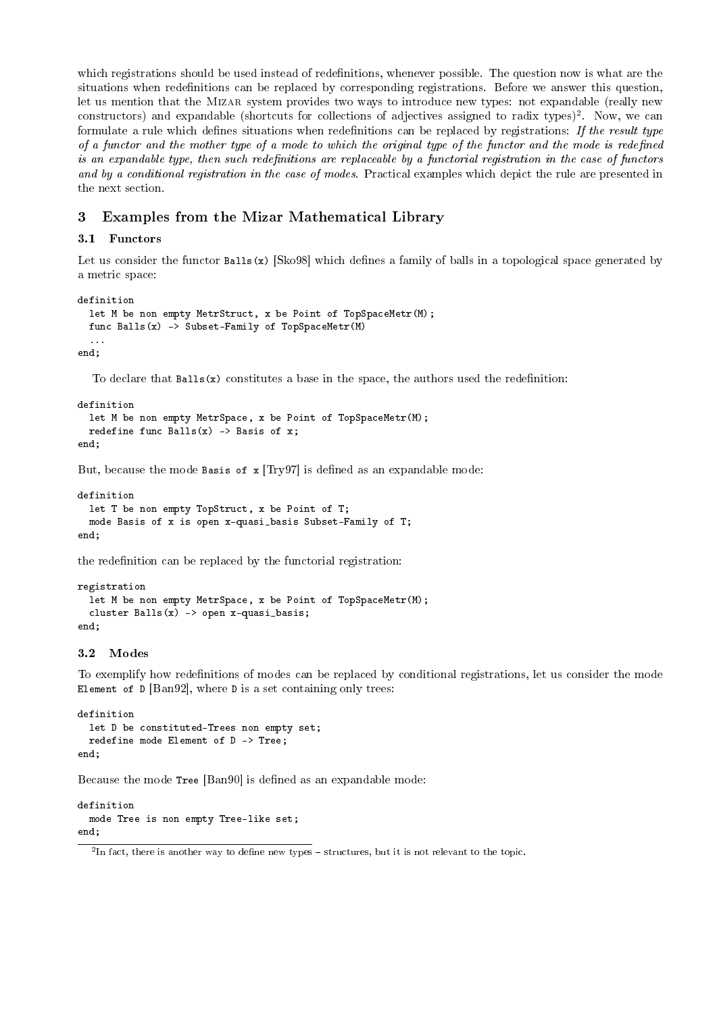which registrations should be used instead of redefinitions, whenever possible. The question now is what are the situations when redefinitions can be replaced by corresponding registrations. Before we answer this question, let us mention that the Mizar system provides two ways to introduce new types: not expandable (really new constructors) and expandable (shortcuts for collections of adjectives assigned to radix types)<sup>2</sup>. Now, we can formulate a rule which defines situations when redefinitions can be replaced by registrations: If the result type of a functor and the mother type of a mode to which the original type of the functor and the mode is redefined is an expandable type, then such redefinitions are replaceable by a functorial registration in the case of functors and by a conditional registration in the case of modes. Practical examples which depict the rule are presented in the next section.

# 3 Examples from the Mizar Mathematical Library

## 3.1 Functors

Let us consider the functor  $Balls(x)$  [Sko98] which defines a family of balls in a topological space generated by a metric space:

```
definition
 let M be non empty MetrStruct, x be Point of TopSpaceMetr(M);
 func Balls(x) -> Subset-Family of TopSpaceMetr(M)...
```
end;

To declare that  $Balls(x)$  constitutes a base in the space, the authors used the redefinition:

```
definition
  let M be non empty MetrSpace, x be Point of TopSpaceMetr(M);
  redefine func Balls(x) \rightarrow Basis of x;
end;
```
But, because the mode Basis of  $x$  [Try97] is defined as an expandable mode:

```
definition
 let T be non empty TopStruct, x be Point of T;
  mode Basis of x is open x-quasi_basis Subset-Family of T;
end;
```
the redefinition can be replaced by the functorial registration:

```
registration
  let M be non empty MetrSpace, x be Point of TopSpaceMetr(M);
  cluster Balls(x) \rightarrow open x-quasi_basis;end;
```
## 3.2 Modes

To exemplify how redefinitions of modes can be replaced by conditional registrations, let us consider the mode Element of  $D$  [Ban92], where  $D$  is a set containing only trees:

```
definition
 let D be constituted-Trees non empty set;
 redefine mode Element of D -> Tree;
end;
```
Because the mode Tree [Ban90] is defined as an expandable mode:

```
definition
  mode Tree is non empty Tree-like set;
end;
```
 $^2$ In fact, there is another way to define new types – structures, but it is not relevant to the topic.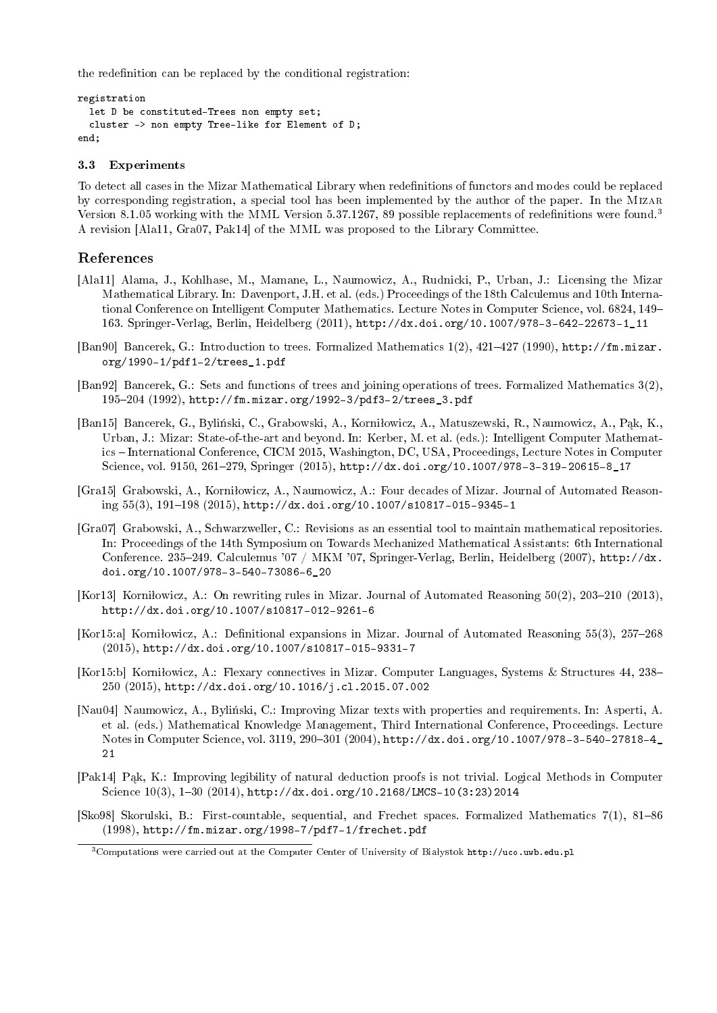the redefinition can be replaced by the conditional registration:

```
registration
  let D be constituted-Trees non empty set;
  cluster -> non empty Tree-like for Element of D;
end;
```
#### 3.3 Experiments

To detect all cases in the Mizar Mathematical Library when redenitions of functors and modes could be replaced by corresponding registration, a special tool has been implemented by the author of the paper. In the Mizar Version 8.1.05 working with the MML Version 5.37.1267, 89 possible replacements of redefinitions were found.<sup>3</sup> A revision [Ala11, Gra07, Pak14] of the MML was proposed to the Library Committee.

## References

- [Ala11] Alama, J., Kohlhase, M., Mamane, L., Naumowicz, A., Rudnicki, P., Urban, J.: Licensing the Mizar Mathematical Library. In: Davenport, J.H. et al. (eds.) Proceedings of the 18th Calculemus and 10th International Conference on Intelligent Computer Mathematics. Lecture Notes in Computer Science, vol. 6824, 149 163. Springer-Verlag, Berlin, Heidelberg (2011), http://dx.doi.org/10.1007/978-3-642-22673-1\_11
- [Ban90] Bancerek, G.: Introduction to trees. Formalized Mathematics 1(2), 421427 (1990), http://fm.mizar. org/1990-1/pdf1-2/trees\_1.pdf
- [Ban92] Bancerek, G.: Sets and functions of trees and joining operations of trees. Formalized Mathematics 3(2), 195204 (1992), http://fm.mizar.org/1992-3/pdf3-2/trees\_3.pdf
- [Ban15] Bancerek, G., Byliński, C., Grabowski, A., Korniłowicz, A., Matuszewski, R., Naumowicz, A., Pak, K., Urban, J.: Mizar: State-of-the-art and beyond. In: Kerber, M. et al. (eds.): Intelligent Computer Mathematics - International Conference, CICM 2015, Washington, DC, USA, Proceedings, Lecture Notes in Computer Science, vol. 9150, 261-279, Springer (2015), http://dx.doi.org/10.1007/978-3-319-20615-8\_17
- [Gra15] Grabowski, A., Korniłowicz, A., Naumowicz, A.: Four decades of Mizar. Journal of Automated Reasoning  $55(3)$ ,  $191-198$   $(2015)$ ,  $http://dx.doi.org/10.1007/s10817-015-9345-1$
- [Gra07] Grabowski, A., Schwarzweller, C.: Revisions as an essential tool to maintain mathematical repositories. In: Proceedings of the 14th Symposium on Towards Mechanized Mathematical Assistants: 6th International Conference. 235-249. Calculemus '07 / MKM '07, Springer-Verlag, Berlin, Heidelberg (2007), http://dx. doi.org/10.1007/978-3-540-73086-6\_20
- [Kor13] Korniłowicz, A.: On rewriting rules in Mizar. Journal of Automated Reasoning  $50(2)$ , 203-210 (2013), http://dx.doi.org/10.1007/s10817-012-9261-6
- [Kor15:a] Korniłowicz, A.: Definitional expansions in Mizar. Journal of Automated Reasoning  $55(3)$ , 257–268 (2015), http://dx.doi.org/10.1007/s10817-015-9331-7
- [Kor15:b] Korniłowicz, A.: Flexary connectives in Mizar. Computer Languages, Systems & Structures 44, 238– 250 (2015), http://dx.doi.org/10.1016/j.cl.2015.07.002
- [Nau04] Naumowicz, A., Bylinski, C.: Improving Mizar texts with properties and requirements. In: Asperti, A. et al. (eds.) Mathematical Knowledge Management, Third International Conference, Proceedings. Lecture Notes in Computer Science, vol. 3119, 290-301 (2004), http://dx.doi.org/10.1007/978-3-540-27818-4\_ 21
- [Pak14] Pak, K.: Improving legibility of natural deduction proofs is not trivial. Logical Methods in Computer Science  $10(3)$ ,  $1-30$   $(2014)$ ,  ${\tt http://dx.doi.org/10.2168/LMCS-10(3:23)2014}$
- [Sko98] Skorulski, B.: First-countable, sequential, and Frechet spaces. Formalized Mathematics 7(1), 81–86 (1998), http://fm.mizar.org/1998-7/pdf7-1/frechet.pdf

<sup>&</sup>lt;sup>3</sup>Computations were carried out at the Computer Center of University of Białystok http://uco.uwb.edu.pl